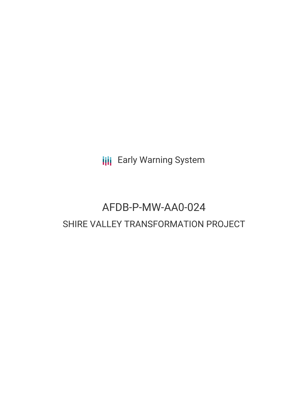**III** Early Warning System

# AFDB-P-MW-AA0-024 SHIRE VALLEY TRANSFORMATION PROJECT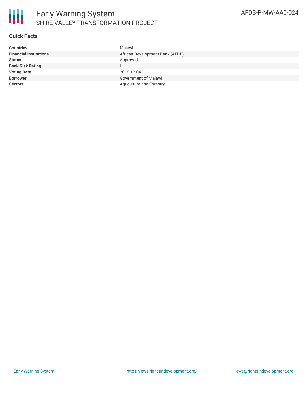

# **Quick Facts**

| <b>Countries</b>              | Malawi                          |
|-------------------------------|---------------------------------|
| <b>Financial Institutions</b> | African Development Bank (AFDB) |
| <b>Status</b>                 | Approved                        |
| <b>Bank Risk Rating</b>       |                                 |
| <b>Voting Date</b>            | 2018-12-04                      |
| <b>Borrower</b>               | Government of Malawi            |
| <b>Sectors</b>                | Agriculture and Forestry        |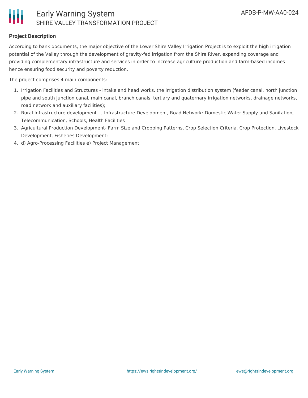# **Project Description**

According to bank documents, the major objective of the Lower Shire Valley Irrigation Project is to exploit the high irrigation potential of the Valley through the development of gravity-fed irrigation from the Shire River, expanding coverage and providing complementary infrastructure and services in order to increase agriculture production and farm-based incomes hence ensuring food security and poverty reduction.

The project comprises 4 main components:

- 1. Irrigation Facilities and Structures intake and head works, the irrigation distribution system (feeder canal, north junction pipe and south junction canal, main canal, branch canals, tertiary and quaternary irrigation networks, drainage networks, road network and auxiliary facilities);
- 2. Rural Infrastructure development , Infrastructure Development, Road Network: Domestic Water Supply and Sanitation, Telecommunication, Schools, Health Facilities
- 3. Agricultural Production Development- Farm Size and Cropping Patterns, Crop Selection Criteria, Crop Protection, Livestock Development, Fisheries Development:
- 4. d) Agro-Processing Facilities e) Project Management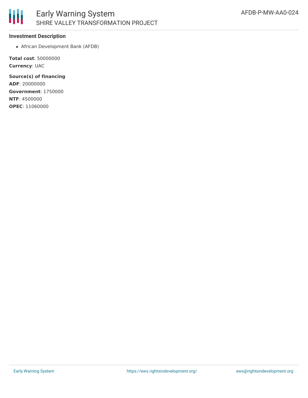

#### **Investment Description**

African Development Bank (AFDB)

**Total cost**: 50000000 **Currency**: UAC

**Source(s) of financing ADF**: 20000000 **Government**: 1750000 **NTF**: 4500000 **OPEC**: 11060000